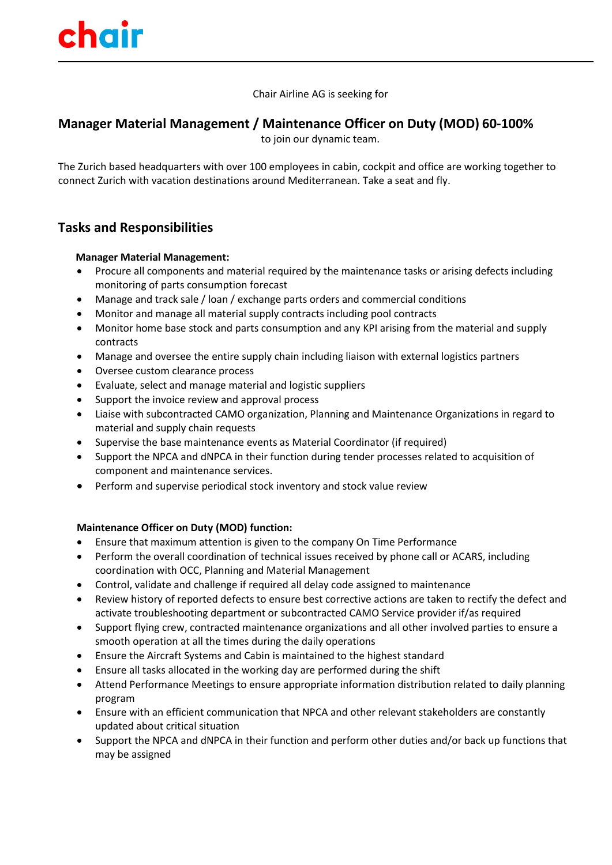Chair Airline AG is seeking for

## **Manager Material Management / Maintenance Officer on Duty (MOD) 60-100%**

to join our dynamic team.

The Zurich based headquarters with over 100 employees in cabin, cockpit and office are working together to connect Zurich with vacation destinations around Mediterranean. Take a seat and fly.

# **Tasks and Responsibilities**

### **Manager Material Management:**

- Procure all components and material required by the maintenance tasks or arising defects including monitoring of parts consumption forecast
- Manage and track sale / loan / exchange parts orders and commercial conditions
- Monitor and manage all material supply contracts including pool contracts
- Monitor home base stock and parts consumption and any KPI arising from the material and supply contracts
- Manage and oversee the entire supply chain including liaison with external logistics partners
- Oversee custom clearance process
- Evaluate, select and manage material and logistic suppliers
- Support the invoice review and approval process
- Liaise with subcontracted CAMO organization, Planning and Maintenance Organizations in regard to material and supply chain requests
- Supervise the base maintenance events as Material Coordinator (if required)
- Support the NPCA and dNPCA in their function during tender processes related to acquisition of component and maintenance services.
- Perform and supervise periodical stock inventory and stock value review

#### **Maintenance Officer on Duty (MOD) function:**

- Ensure that maximum attention is given to the company On Time Performance
- Perform the overall coordination of technical issues received by phone call or ACARS, including coordination with OCC, Planning and Material Management
- Control, validate and challenge if required all delay code assigned to maintenance
- Review history of reported defects to ensure best corrective actions are taken to rectify the defect and activate troubleshooting department or subcontracted CAMO Service provider if/as required
- Support flying crew, contracted maintenance organizations and all other involved parties to ensure a smooth operation at all the times during the daily operations
- Ensure the Aircraft Systems and Cabin is maintained to the highest standard
- Ensure all tasks allocated in the working day are performed during the shift
- Attend Performance Meetings to ensure appropriate information distribution related to daily planning program
- Ensure with an efficient communication that NPCA and other relevant stakeholders are constantly updated about critical situation
- Support the NPCA and dNPCA in their function and perform other duties and/or back up functions that may be assigned